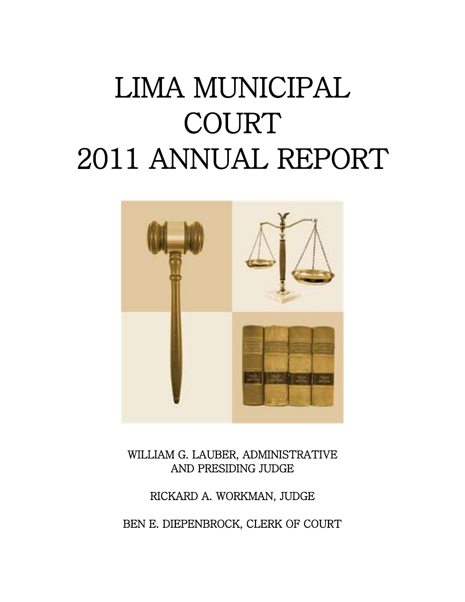### LIMA MUNICIPAL COURT 2011 ANNUAL REPORT



WILLIAM G. LAUBER, ADMINISTRATIVE AND PRESIDING JUDGE

RICKARD A. WORKMAN, JUDGE BEN E. DIEPENBROCK, CLERK OF COURT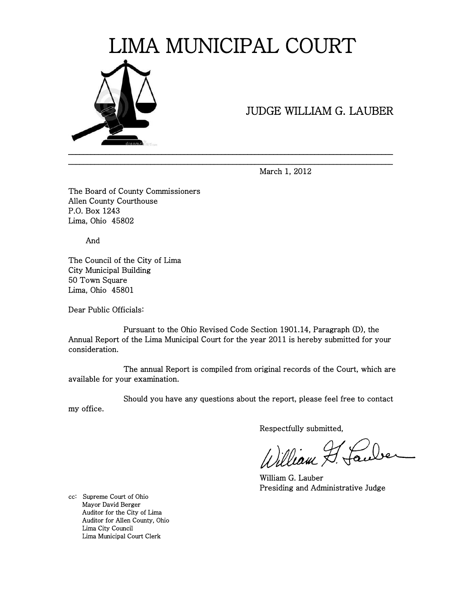

### JUDGE WILLIAM G. LAUBER

March 1, 2012

The Board of County Commissioners Allen County Courthouse P.O. Box 1243 Lima, Ohio 45802

And

The Council of the City of Lima City Municipal Building 50 Town Square Lima, Ohio 45801

Dear Public Officials:

 Pursuant to the Ohio Revised Code Section 1901.14, Paragraph (D), the Annual Report of the Lima Municipal Court for the year 2011 is hereby submitted for your consideration.

\_\_\_\_\_\_\_\_\_\_\_\_\_\_\_\_\_\_\_\_\_\_\_\_\_\_\_\_\_\_\_\_\_\_\_\_\_\_\_\_\_\_\_\_\_\_\_\_\_\_\_\_\_\_\_\_\_\_\_\_\_\_\_\_\_\_\_\_\_\_\_\_\_\_\_\_\_\_\_\_\_\_\_\_\_\_\_

 The annual Report is compiled from original records of the Court, which are available for your examination.

 Should you have any questions about the report, please feel free to contact my office.

Respectfully submitted,

William F. Laube

 William G. Lauber Presiding and Administrative Judge

cc: Supreme Court of Ohio Mayor David Berger Auditor for the City of Lima Auditor for Allen County, Ohio Lima City Council Lima Municipal Court Clerk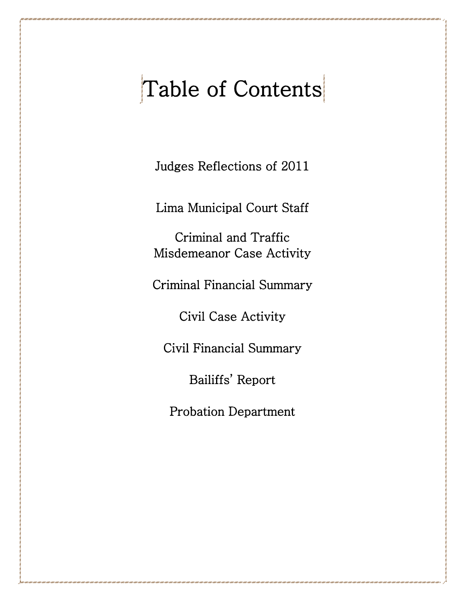### Table of Contents

Judges Reflections of 2011

Lima Municipal Court Staff

Criminal and Traffic Misdemeanor Case Activity

Criminal Financial Summary

Civil Case Activity

Civil Financial Summary

Bailiffs' Report

Probation Department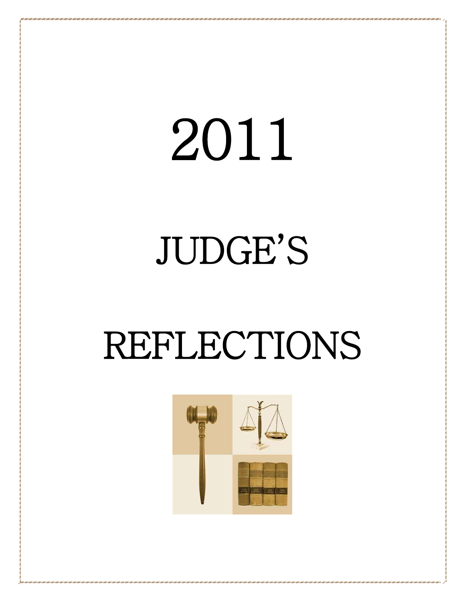# 2011

## JUDGE'S

### REFLECTIONS

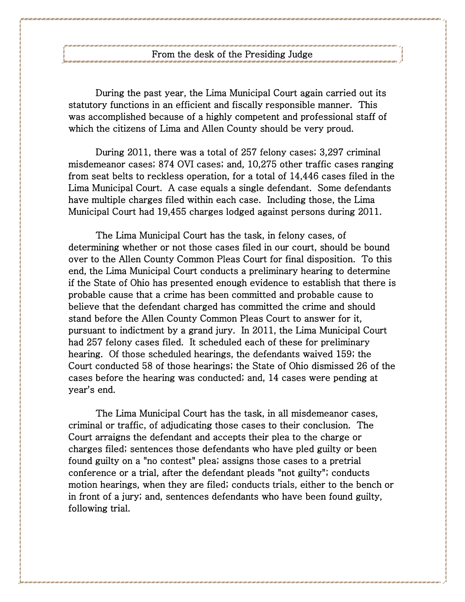During the past year, the Lima Municipal Court again carried out its statutory functions in an efficient and fiscally responsible manner. This was accomplished because of a highly competent and professional staff of which the citizens of Lima and Allen County should be very proud.

During 2011, there was a total of 257 felony cases; 3,297 criminal misdemeanor cases; 874 OVI cases; and, 10,275 other traffic cases ranging from seat belts to reckless operation, for a total of 14,446 cases filed in the Lima Municipal Court. A case equals a single defendant. Some defendants have multiple charges filed within each case. Including those, the Lima Municipal Court had 19,455 charges lodged against persons during 2011.

The Lima Municipal Court has the task, in felony cases, of determining whether or not those cases filed in our court, should be bound over to the Allen County Common Pleas Court for final disposition. To this end, the Lima Municipal Court conducts a preliminary hearing to determine if the State of Ohio has presented enough evidence to establish that there is probable cause that a crime has been committed and probable cause to believe that the defendant charged has committed the crime and should stand before the Allen County Common Pleas Court to answer for it, pursuant to indictment by a grand jury. In 2011, the Lima Municipal Court had 257 felony cases filed. It scheduled each of these for preliminary hearing. Of those scheduled hearings, the defendants waived 159; the Court conducted 58 of those hearings; the State of Ohio dismissed 26 of the cases before the hearing was conducted; and, 14 cases were pending at year's end.

The Lima Municipal Court has the task, in all misdemeanor cases, criminal or traffic, of adjudicating those cases to their conclusion. The Court arraigns the defendant and accepts their plea to the charge or charges filed; sentences those defendants who have pled guilty or been found guilty on a "no contest" plea; assigns those cases to a pretrial conference or a trial, after the defendant pleads "not guilty"; conducts motion hearings, when they are filed; conducts trials, either to the bench or in front of a jury; and, sentences defendants who have been found guilty, following trial.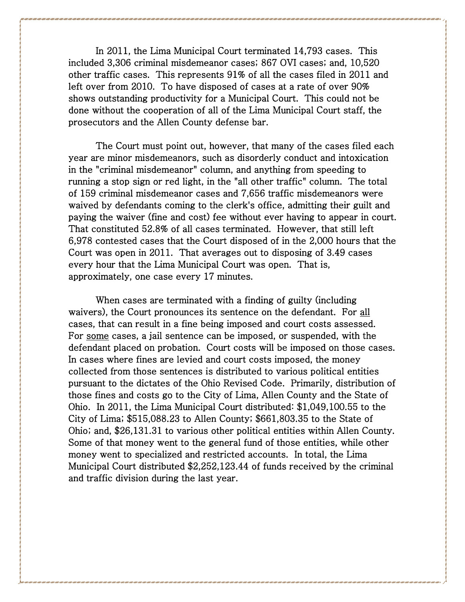In 2011, the Lima Municipal Court terminated 14,793 cases. This included 3,306 criminal misdemeanor cases; 867 OVI cases; and, 10,520 other traffic cases. This represents 91% of all the cases filed in 2011 and left over from 2010. To have disposed of cases at a rate of over 90% shows outstanding productivity for a Municipal Court. This could not be done without the cooperation of all of the Lima Municipal Court staff, the prosecutors and the Allen County defense bar.

The Court must point out, however, that many of the cases filed each year are minor misdemeanors, such as disorderly conduct and intoxication in the "criminal misdemeanor" column, and anything from speeding to running a stop sign or red light, in the "all other traffic" column. The total of 159 criminal misdemeanor cases and 7,656 traffic misdemeanors were waived by defendants coming to the clerk's office, admitting their guilt and paying the waiver (fine and cost) fee without ever having to appear in court. That constituted 52.8% of all cases terminated. However, that still left 6,978 contested cases that the Court disposed of in the 2,000 hours that the Court was open in 2011. That averages out to disposing of 3.49 cases every hour that the Lima Municipal Court was open. That is, approximately, one case every 17 minutes.

When cases are terminated with a finding of guilty (including waivers), the Court pronounces its sentence on the defendant. For all cases, that can result in a fine being imposed and court costs assessed. For some cases, a jail sentence can be imposed, or suspended, with the defendant placed on probation. Court costs will be imposed on those cases. In cases where fines are levied and court costs imposed, the money collected from those sentences is distributed to various political entities pursuant to the dictates of the Ohio Revised Code. Primarily, distribution of those fines and costs go to the City of Lima, Allen County and the State of Ohio. In 2011, the Lima Municipal Court distributed: \$1,049,100.55 to the City of Lima; \$515,088.23 to Allen County; \$661,803.35 to the State of Ohio; and, \$26,131.31 to various other political entities within Allen County. Some of that money went to the general fund of those entities, while other money went to specialized and restricted accounts. In total, the Lima Municipal Court distributed \$2,252,123.44 of funds received by the criminal and traffic division during the last year.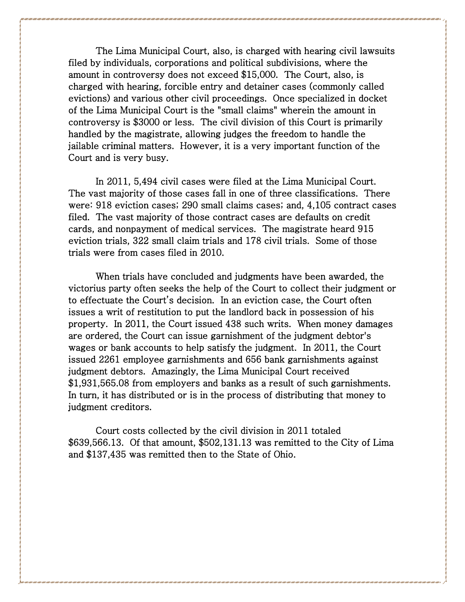The Lima Municipal Court, also, is charged with hearing civil lawsuits filed by individuals, corporations and political subdivisions, where the amount in controversy does not exceed \$15,000. The Court, also, is charged with hearing, forcible entry and detainer cases (commonly called evictions) and various other civil proceedings. Once specialized in docket of the Lima Municipal Court is the "small claims" wherein the amount in controversy is \$3000 or less. The civil division of this Court is primarily handled by the magistrate, allowing judges the freedom to handle the jailable criminal matters. However, it is a very important function of the Court and is very busy.

In 2011, 5,494 civil cases were filed at the Lima Municipal Court. The vast majority of those cases fall in one of three classifications. There were: 918 eviction cases; 290 small claims cases; and, 4,105 contract cases filed. The vast majority of those contract cases are defaults on credit cards, and nonpayment of medical services. The magistrate heard 915 eviction trials, 322 small claim trials and 178 civil trials. Some of those trials were from cases filed in 2010.

When trials have concluded and judgments have been awarded, the victorius party often seeks the help of the Court to collect their judgment or to effectuate the Court's decision. In an eviction case, the Court often issues a writ of restitution to put the landlord back in possession of his property. In 2011, the Court issued 438 such writs. When money damages are ordered, the Court can issue garnishment of the judgment debtor's wages or bank accounts to help satisfy the judgment. In 2011, the Court issued 2261 employee garnishments and 656 bank garnishments against judgment debtors. Amazingly, the Lima Municipal Court received \$1,931,565.08 from employers and banks as a result of such garnishments. In turn, it has distributed or is in the process of distributing that money to judgment creditors.

Court costs collected by the civil division in 2011 totaled \$639,566.13. Of that amount, \$502,131.13 was remitted to the City of Lima and \$137,435 was remitted then to the State of Ohio.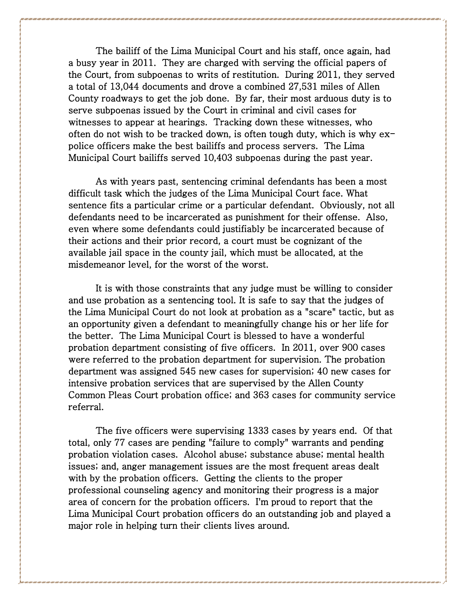The bailiff of the Lima Municipal Court and his staff, once again, had a busy year in 2011. They are charged with serving the official papers of the Court, from subpoenas to writs of restitution. During 2011, they served a total of 13,044 documents and drove a combined 27,531 miles of Allen County roadways to get the job done. By far, their most arduous duty is to serve subpoenas issued by the Court in criminal and civil cases for witnesses to appear at hearings. Tracking down these witnesses, who often do not wish to be tracked down, is often tough duty, which is why  $ex$ police officers make the best bailiffs and process servers. The Lima Municipal Court bailiffs served 10,403 subpoenas during the past year.

As with years past, sentencing criminal defendants has been a most difficult task which the judges of the Lima Municipal Court face. What sentence fits a particular crime or a particular defendant. Obviously, not all defendants need to be incarcerated as punishment for their offense. Also, even where some defendants could justifiably be incarcerated because of their actions and their prior record, a court must be cognizant of the available jail space in the county jail, which must be allocated, at the misdemeanor level, for the worst of the worst.

It is with those constraints that any judge must be willing to consider and use probation as a sentencing tool. It is safe to say that the judges of the Lima Municipal Court do not look at probation as a "scare" tactic, but as an opportunity given a defendant to meaningfully change his or her life for the better. The Lima Municipal Court is blessed to have a wonderful probation department consisting of five officers. In 2011, over 900 cases were referred to the probation department for supervision. The probation department was assigned 545 new cases for supervision; 40 new cases for intensive probation services that are supervised by the Allen County Common Pleas Court probation office; and 363 cases for community service referral.

The five officers were supervising 1333 cases by years end. Of that total, only 77 cases are pending "failure to comply" warrants and pending probation violation cases. Alcohol abuse; substance abuse; mental health issues; and, anger management issues are the most frequent areas dealt with by the probation officers. Getting the clients to the proper professional counseling agency and monitoring their progress is a major area of concern for the probation officers. I'm proud to report that the Lima Municipal Court probation officers do an outstanding job and played a major role in helping turn their clients lives around.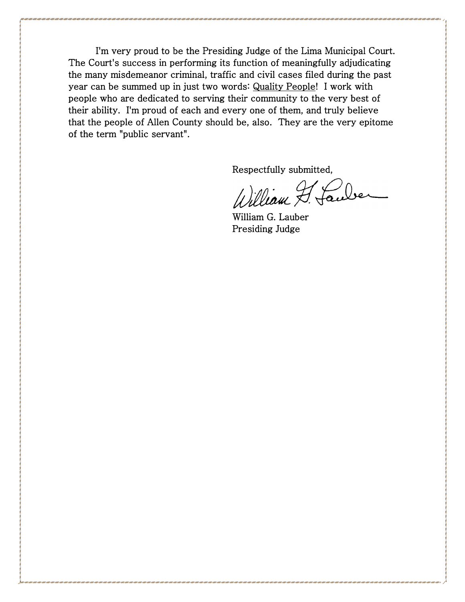I'm very proud to be the Presiding Judge of the Lima Municipal Court. The Court's success in performing its function of meaningfully adjudicating the many misdemeanor criminal, traffic and civil cases filed during the past year can be summed up in just two words: Quality People! I work with people who are dedicated to serving their community to the very best of their ability. I'm proud of each and every one of them, and truly believe that the people of Allen County should be, also. They are the very epitome of the term "public servant".

Respectfully submitted,

William F. Lauber

 William G. Lauber Presiding Judge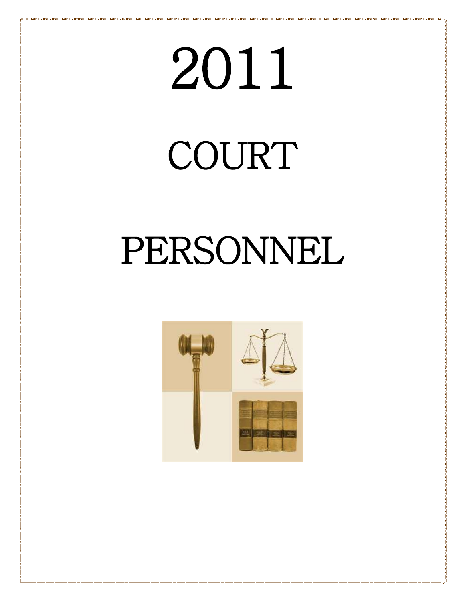# 2011

### COURT

### PERSONNEL

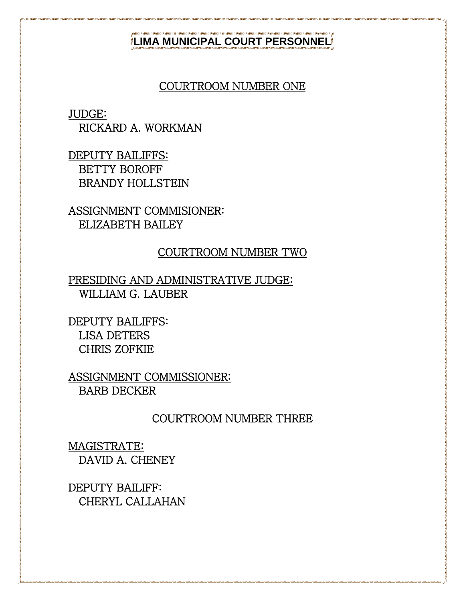### **LIMA MUNICIPAL COURT PERSONNEL**

### COURTROOM NUMBER ONE

JUDGE:

RICKARD A. WORKMAN

DEPUTY BAILIFFS: BETTY BOROFF BRANDY HOLLSTEIN

ASSIGNMENT COMMISIONER: ELIZABETH BAILEY

### COURTROOM NUMBER TWO

PRESIDING AND ADMINISTRATIVE JUDGE: WILLIAM G. LAUBER

DEPUTY BAILIFFS: LISA DETERS CHRIS ZOFKIE

ASSIGNMENT COMMISSIONER: BARB DECKER

### COURTROOM NUMBER THREE

MAGISTRATE: DAVID A. CHENEY

DEPUTY BAILIFF: CHERYL CALLAHAN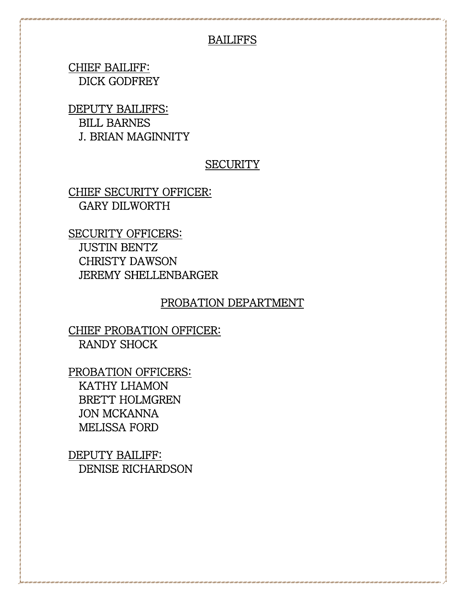### BAILIFFS

CHIEF BAILIFF: DICK GODFREY

DEPUTY BAILIFFS: BILL BARNES J. BRIAN MAGINNITY

### **SECURITY**

CHIEF SECURITY OFFICER: GARY DILWORTH

SECURITY OFFICERS: JUSTIN BENTZ CHRISTY DAWSON JEREMY SHELLENBARGER

### PROBATION DEPARTMENT

CHIEF PROBATION OFFICER: RANDY SHOCK

PROBATION OFFICERS: KATHY LHAMON BRETT HOLMGREN JON MCKANNA MELISSA FORD

DEPUTY BAILIFF: DENISE RICHARDSON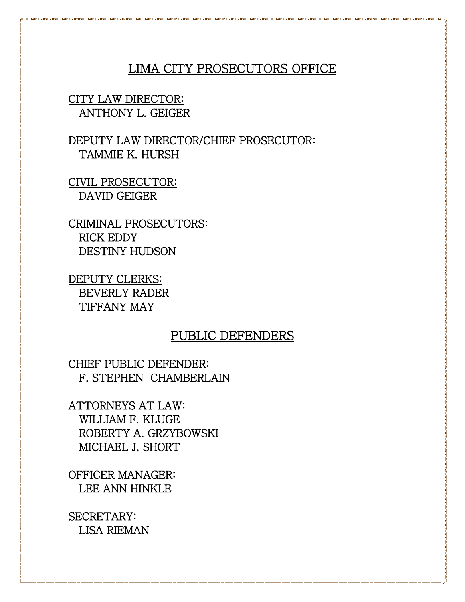### LIMA CITY PROSECUTORS OFFICE

### CITY LAW DIRECTOR: ANTHONY L. GEIGER

### DEPUTY LAW DIRECTOR/CHIEF PROSECUTOR: TAMMIE K. HURSH

CIVIL PROSECUTOR: DAVID GEIGER

CRIMINAL PROSECUTORS: RICK EDDY DESTINY HUDSON

DEPUTY CLERKS: BEVERLY RADER TIFFANY MAY

### PUBLIC DEFENDERS

CHIEF PUBLIC DEFENDER: F. STEPHEN CHAMBERLAIN

ATTORNEYS AT LAW: WILLIAM F. KLUGE ROBERTY A. GRZYBOWSKI MICHAEL J. SHORT

OFFICER MANAGER: LEE ANN HINKLE

SECRETARY: LISA RIEMAN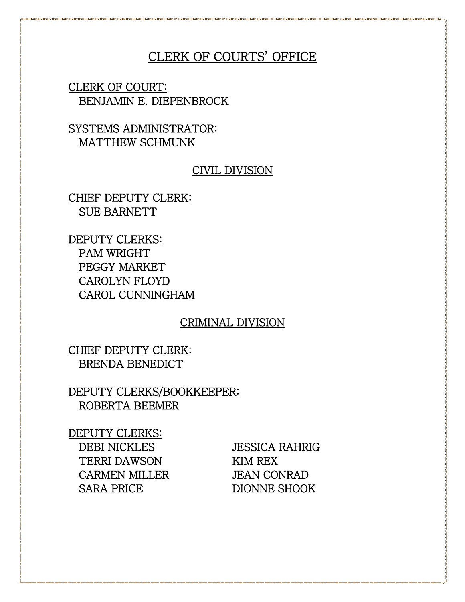### CLERK OF COURTS' OFFICE

CLERK OF COURT: BENJAMIN E. DIEPENBROCK

SYSTEMS ADMINISTRATOR: MATTHEW SCHMUNK

### CIVIL DIVISION

CHIEF DEPUTY CLERK: SUE BARNETT

DEPUTY CLERKS: PAM WRIGHT PEGGY MARKET CAROLYN FLOYD CAROL CUNNINGHAM

### CRIMINAL DIVISION

CHIEF DEPUTY CLERK: BRENDA BENEDICT

DEPUTY CLERKS/BOOKKEEPER: ROBERTA BEEMER

DEPUTY CLERKS: DEBI NICKLES JESSICA RAHRIG TERRI DAWSON KIM REX CARMEN MILLER JEAN CONRAD SARA PRICE DIONNE SHOOK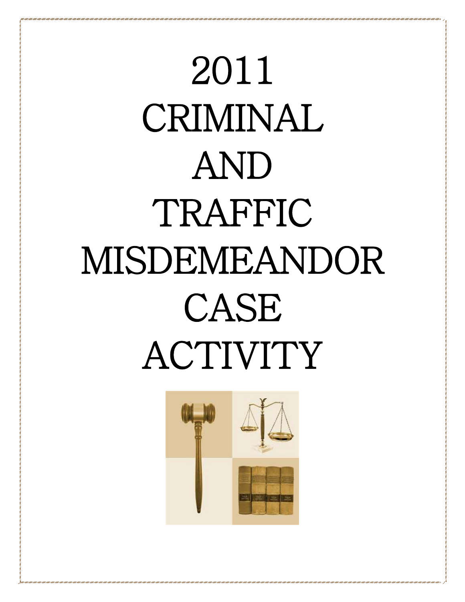## 2011 CRIMINAL AND TRAFFIC MISDEMEANDOR CASE ACTIVITY

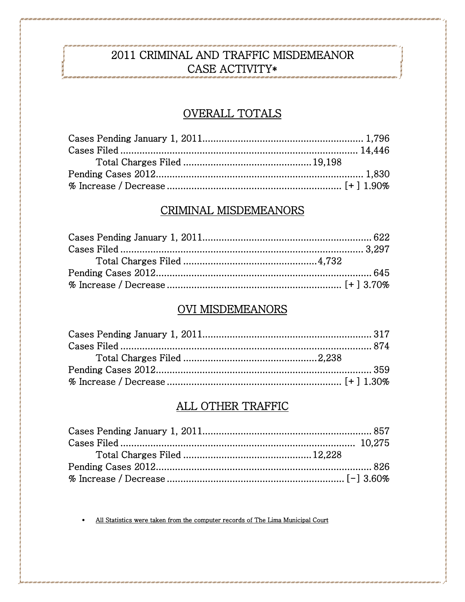### 2011 CRIMINAL AND TRAFFIC MISDEMEANOR CASE ACTIVITY\*

### OVERALL TOTALS

### CRIMINAL MISDEMEANORS

### **OVI MISDEMEANORS**

### ALL OTHER TRAFFIC

All Statistics were taken from the computer records of The Lima Municipal Court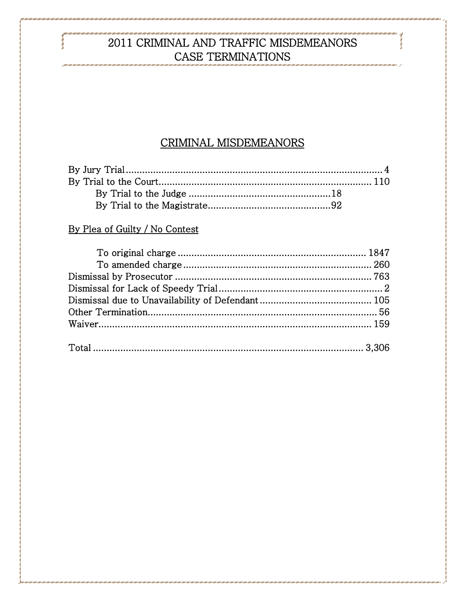### 2011 CRIMINAL AND TRAFFIC MISDEMEANORS CASE TERMINATIONS .<br>I Tanii Tanii Tanii Tanii Tanii Tanii Tanii Tanii Tanii Tanii Tanii Tanii Tanii Tanii Tanii Tanii Tanii Tanii Tani

### CRIMINAL MISDEMEANORS

### By Plea of Guilty / No Contest

r i cont i contr i cont i cont i contr i contr i cont i contr i contr i contr i contr i contr i contr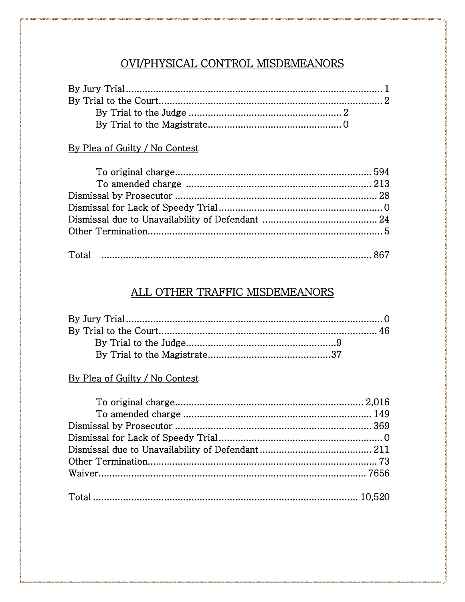### OVI/PHYSICAL CONTROL MISDEMEANORS

### By Plea of Guilty / No Contest

### ALL OTHER TRAFFIC MISDEMEANORS

### By Plea of Guilty / No Contest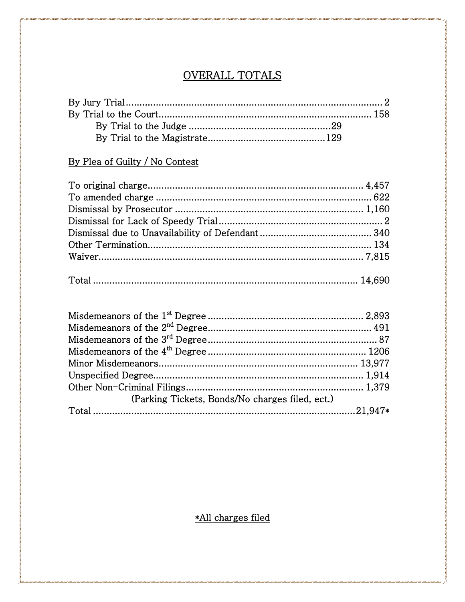### OVERALL TOTALS

### By Plea of Guilty / No Contest

| (Parking Tickets, Bonds/No charges filed, ect.) |  |
|-------------------------------------------------|--|
|                                                 |  |

\*All charges filed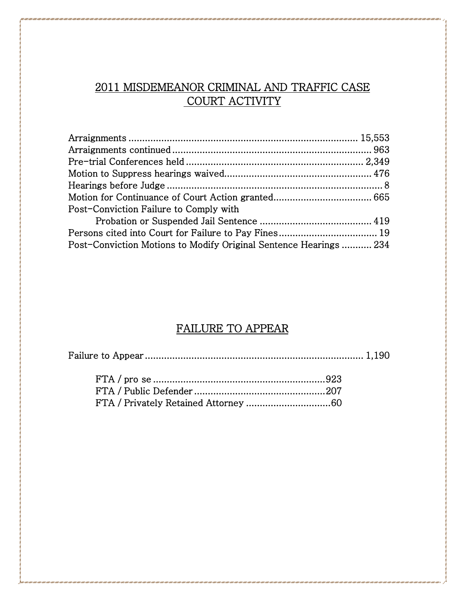### 2011 MISDEMEANOR CRIMINAL AND TRAFFIC CASE COURT ACTIVITY

| Post-Conviction Failure to Comply with                            |  |
|-------------------------------------------------------------------|--|
|                                                                   |  |
|                                                                   |  |
| Post-Conviction Motions to Modify Original Sentence Hearings  234 |  |

### FAILURE TO APPEAR

|--|--|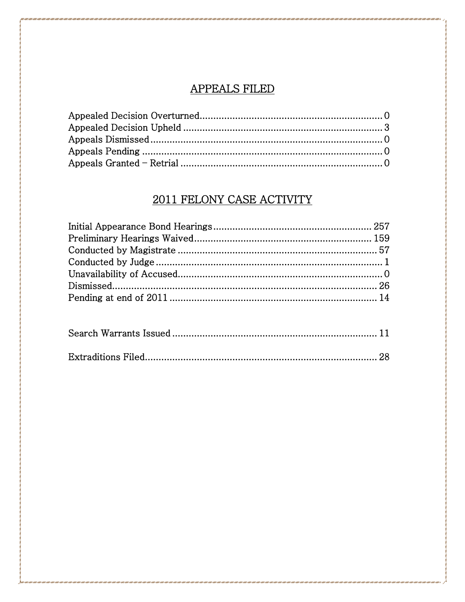### **APPEALS FILED**

### 2011 FELONY CASE ACTIVITY

i ani i ani i ani i ani i ani i ani i ani i ani i ani i ani i ani i ani i ani i ani i ani i ani i ani i ani i a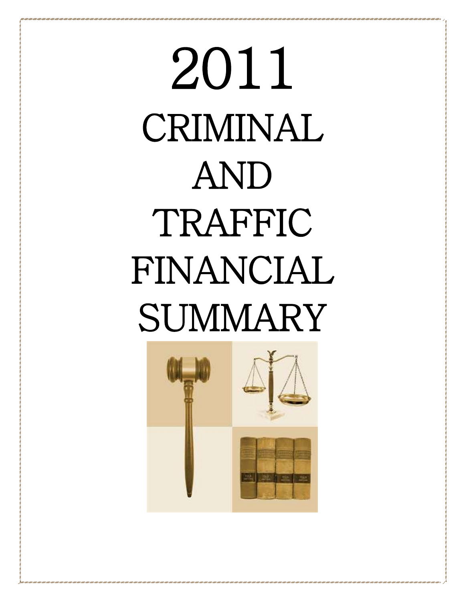# 2011 CRIMINAL AND TRAFFIC FINANCIAL **SUMMARY**

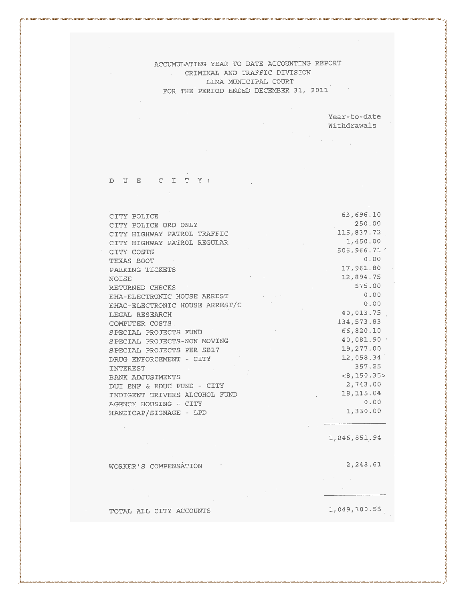> Year-to-date Withdrawals

 $\label{eq:2} \frac{1}{2} \int_{\mathbb{R}^3} \left| \frac{d\mu}{d\mu} \right|^2 \, d\mu = \frac{1}{2} \int_{\mathbb{R}^3} \left| \frac{d\mu}{d\mu} \right|^2 \, d\mu.$ 

 $\sim$ 

 $\sim 10^7$ 

### DUE CITY:

 $\sim$ 

| CITY POLICE                    | 63,696.10    |
|--------------------------------|--------------|
| CITY POLICE ORD ONLY           | 250.00       |
| CITY HIGHWAY PATROL TRAFFIC    | 115,837.72   |
| CITY HIGHWAY PATROL REGULAR    | 1,450.00     |
| CITY COSTS                     | 506.966.71   |
| TEXAS BOOT                     | 0.00         |
| PARKING TICKETS                | 17,961.80    |
| <b>NOISE</b>                   | 12,894.75    |
| RETURNED CHECKS                | 575.00       |
| EHA-ELECTRONIC HOUSE ARREST    | 0.00         |
| EHAC-ELECTRONIC HOUSE ARREST/C | 0.00         |
| LEGAL RESEARCH                 | 40,013.75    |
| COMPUTER COSTS.                | 134,573.83   |
| SPECIAL PROJECTS FUND          | 66,820.10    |
| SPECIAL PROJECTS-NON MOVING    | 40,081.90    |
| SPECIAL PROJECTS PER SB17      | 19,277.00    |
| DRUG ENFORCEMENT - CITY        | 12,058.34    |
| INTEREST                       | 357.25       |
| BANK ADJUSTMENTS               | <8.150.35>   |
| DUI ENF & EDUC FUND - CITY     | 2,743.00     |
| INDIGENT DRIVERS ALCOHOL FUND  | 18, 115.04   |
| AGENCY HOUSING - CITY          | 0.00         |
| HANDICAP/SIGNAGE - LPD         | 1,330.00     |
|                                |              |
|                                |              |
|                                | 1,046,851.94 |
|                                |              |
|                                |              |
| WORKER'S COMPENSATION          | 2,248.61     |
|                                |              |
|                                |              |
|                                |              |
|                                |              |

TOTAL ALL CITY ACCOUNTS

 $1,049,100.55$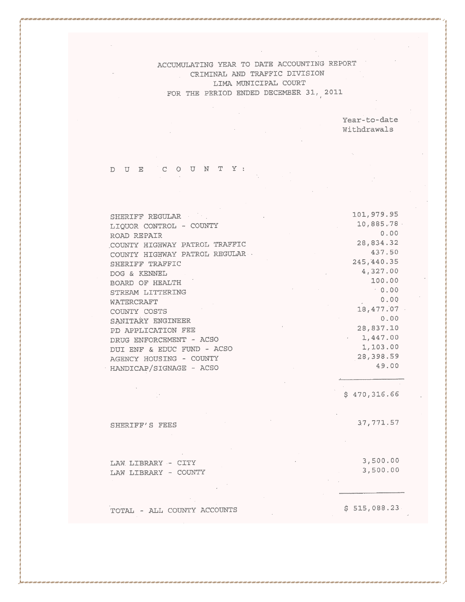> Year-to-date Withdrawals

#### DUE COUNTY:

| SHERIFF REGULAR                | 101,979.95  |
|--------------------------------|-------------|
| LIOUOR CONTROL - COUNTY        | 10,885.78   |
| ROAD REPAIR                    | 0.00        |
| COUNTY HIGHWAY PATROL TRAFFIC  | 28,834.32   |
| COUNTY HIGHWAY PATROL REGULAR. | 437.50      |
| SHERIFF TRAFFIC                | 245, 440.35 |
| DOG & KENNEL                   | 4,327.00    |
| BOARD OF HEALTH                | 100.00      |
| STREAM LITTERING               | 0.00        |
| WATERCRAFT                     | 0.00        |
| COUNTY COSTS                   | 18,477.07   |
| SANITARY ENGINEER              | 0.00        |
| PD APPLICATION FEE             | 28,837.10   |
| DRUG ENFORCEMENT - ACSO        | 1,447.00    |
| DUI ENF & EDUC FUND - ACSO     | 1,103.00    |
| AGENCY HOUSING - COUNTY        | 28,398.59   |
| HANDICAP/SIGNAGE - ACSO        | 49.00       |
|                                |             |
|                                |             |

 $$470,316.66$ 

 $37,771.57$ 

SHERIFF'S FEES

3,500.00 LAW LIBRARY - CITY 3,500.00 LAW LIBRARY - COUNTY

TOTAL - ALL COUNTY ACCOUNTS

 $\sim 20\,$ 

 $$515,088.23$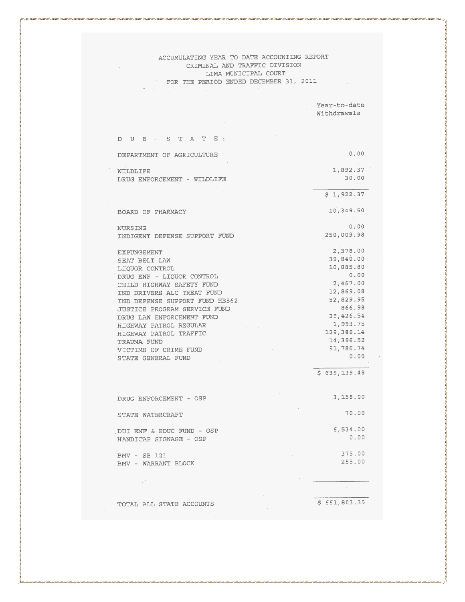DUE STATE:  $0.00$ DEPARTMENT OF AGRICULTURE WILDLIFE 1,892.37 30.00 DRUG ENFORCEMENT - WILDLIFE  $$1,922.37$ 10,349.50 BOARD OF PHARMACY  $0,00$ NURSING 250,009.98 INDIGENT DEFENSE SUPPORT FUND 2,378.00 EXPUNGEMENT 39,840.00 SEAT BELT LAW 10,885.80 LIQUOR CONTROL  $0.00$ DRUG ENF - LIQUOR CONTROL 2,467.00 CHILD HIGHWAY SAFETY FUND 12,869.08 IND DRIVERS ALC TREAT FUND 52,829.95 IND DEFENSE SUPPORT FUND HB562 866.98 JUSTICE PROGRAM SERVICE FUND 29,426.54 DRUG LAW ENFORCEMENT FUND 1,993.75 HIGHWAY PATROL REGULAR 129,389.14 HIGHWAY PATROL TRAFFIC 14,396.52 TRAUMA FUND 91,786.74 VICTIMS OF CRIME FUND  $0.00$ STATE GENERAL FUND

 $$639,139.48$  $3,158.00$ DRUG ENFORCEMENT - OSP 70.00 STATE WATERCRAFT DUI ENF & EDUC FUND - OSP  $6,534.00$  $0.00$ HANDICAP SIGNAGE - OSP 375,00  $BMV - SB 121$ 255.00 BMV - WARRANT BLOCK  $\sim 10^{11}$ 

 $$661,803.35$ 

Year-to-date Withdrawals

TOTAL ALL STATE ACCOUNTS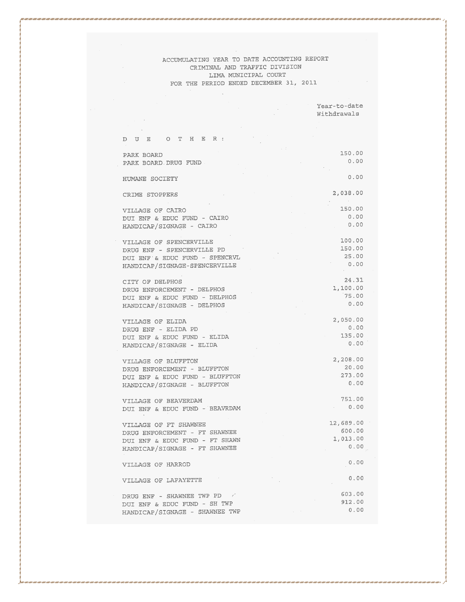|                                                               | Withdrawals      |
|---------------------------------------------------------------|------------------|
|                                                               |                  |
|                                                               |                  |
| DUE OTHER:                                                    |                  |
| PARK BOARD                                                    | 150.00           |
| PARK BOARD DRUG FUND                                          | 0.00             |
|                                                               |                  |
| HUMANE SOCIETY                                                | 0.00             |
|                                                               |                  |
| CRIME STOPPERS                                                | 2,038.00         |
|                                                               |                  |
| VILLAGE OF CAIRO                                              | 150.00           |
| DUI ENF & EDUC FUND - CAIRO                                   | 0.00             |
| HANDICAP/SIGNAGE - CAIRO                                      | 0.00             |
|                                                               |                  |
| VILLAGE OF SPENCERVILLE                                       | 100.00           |
| DRUG ENF - SPENCERVILLE PD                                    | 150.00           |
| DUI ENF & EDUC FUND - SPENCRVL                                | 25.00            |
| HANDICAP/SIGNAGE-SPENCERVILLE                                 | 0.00             |
|                                                               |                  |
| CITY OF DELPHOS                                               | 24.31            |
| DRUG ENFORCEMENT - DELPHOS                                    | 1,100.00         |
| DUI ENF & EDUC FUND - DELPHOS                                 | 75.00            |
| HANDICAP/SIGNAGE - DELPHOS                                    | 0.00             |
|                                                               |                  |
| VILLAGE OF ELIDA                                              | 2,050.00<br>0.00 |
| DRUG ENF - ELIDA PD                                           | 135.00           |
| DUI ENF & EDUC FUND - ELIDA                                   | 0.00             |
| HANDICAP/SIGNAGE - ELIDA                                      |                  |
|                                                               | 2,208.00         |
| VILLAGE OF BLUFFTON                                           | 20.00            |
| DRUG ENFORCEMENT - BLUFFTON                                   | .273.00          |
| DUI ENF & EDUC FUND - BLUFFTON<br>HANDICAP/SIGNAGE - BLUFFTON | 0.00             |
|                                                               |                  |
| VILLAGE OF BEAVERDAM                                          | 751.00           |
| DUI ENF & EDUC FUND - BEAVRDAM                                | 0.00             |
|                                                               |                  |
| VILLAGE OF FT SHAWNEE                                         | 12,689.00        |
| DRUG ENFORCEMENT - FT SHAWNEE                                 | 600.00           |
| DUI ENF & EDUC FUND - FT SHAWN                                | 1,013.00         |
| HANDICAP/SIGNAGE - FT SHAWNEE                                 | 0.00             |
|                                                               |                  |
| VILLAGE OF HARROD                                             | 0.00             |
|                                                               |                  |
| VILLAGE OF LAFAYETTE                                          | 0.00             |
|                                                               |                  |
| DRUG ENF - SHAWNEE TWP PD                                     | 603.00           |
| DUI ENF & EDUC FUND - SH TWP                                  | 912.00           |
| HANDICAP/SIGNAGE - SHAWNEE TWP                                | 0.00             |

Year-to-date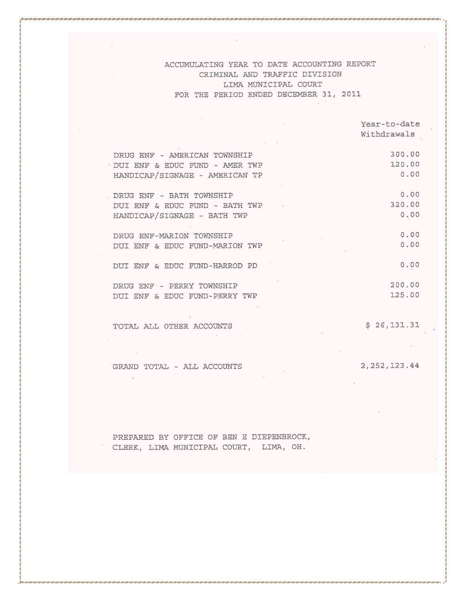|                                  | Year-to-date<br>Withdrawals |
|----------------------------------|-----------------------------|
| DRUG ENF - AMERICAN TOWNSHIP     | 300.00                      |
| · DUI ENF & EDUC FUND - AMER TWP | 120.00                      |
| HANDICAP/SIGNAGE - AMERICAN TP   | 0.00                        |
| DRUG ENF - BATH TOWNSHIP         | 0.00                        |
| DUI ENF & EDUC FUND - BATH TWP   | 320.00                      |
| HANDICAP/SIGNAGE - BATH TWP      | 0.00                        |
| DRUG ENF-MARION TOWNSHIP         | 0.00                        |
| DUI ENF & EDUC FUND-MARION TWP   | 0.00                        |
| DUI ENF & EDUC FUND-HARROD PD    | 0.00                        |
| DRUG ENF - PERRY TOWNSHIP        | 200.00                      |
| DUI ENF & EDUC FUND-PERRY TWP    | 125.00                      |

TOTAL ALL OTHER ACCOUNTS

 $\sim$ 

 $$26,131.31$ 

GRAND TOTAL - ALL ACCOUNTS

2, 252, 123.44

PREPARED BY OFFICE OF BEN E DIEPENBROCK, CLERK, LIMA MUNICIPAL COURT, LIMA, OH.

 $\sim 10^{11}$  km s  $^{-1}$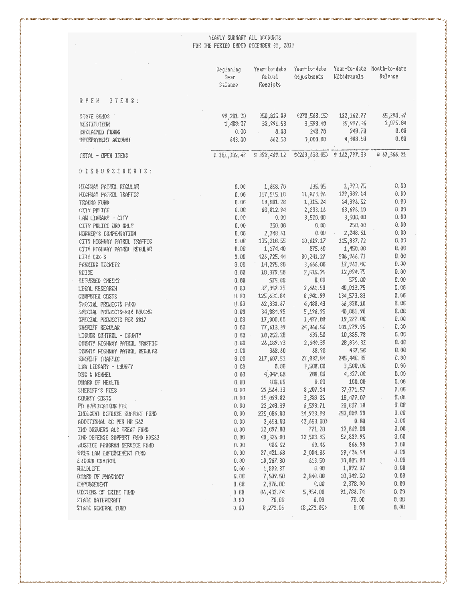YEARLY SUMMARY ALL ACCOUNTS<br>FOR THE PERIOD ENDED DECEMBER 31, 2011

|                                                               | Beginning<br>Year<br>Balance | Year-to-date<br>Actual<br>Receipts                             | Year-to-date<br>Adjustments | alsus philili          | Year-to-date Month-to-date<br>Balance |
|---------------------------------------------------------------|------------------------------|----------------------------------------------------------------|-----------------------------|------------------------|---------------------------------------|
| 日平日目<br>$I I E H S$ :                                         |                              |                                                                |                             |                        |                                       |
| 2191E RIND2                                                   | 99, 201. 20                  | 358,815.09                                                     | (270, 563, 15)              | 122, 162. 77           | 65,290,37                             |
| RESTITUTION                                                   | 1,488.27                     | 32,991.53                                                      | 3,593. 40                   | 35,997.36              | 2,075.84                              |
| <b>CHICLAIRED FUNDS</b>                                       | 0,00                         | 0.00                                                           | 2带.70                       | 248.70                 | 0.00                                  |
| <b>INVERPAYMENT ACCOUNT</b>                                   | 643,00                       | 662.50                                                         | 3,003,00                    | 4,388.50               | 0.00                                  |
| $\alpha_{\rm{max}} = \alpha_{\rm{max}}$<br>TETAL - OPEN ITENS |                              | $\# 101,332,47 = \# 392,469,12 = $1263,638,05$ $\# 162,797,33$ |                             |                        | \$67,366.21                           |
| 0 1 3 3 4 5 5 6 7 8 9 9 1 8 1 8 1                             |                              |                                                                |                             |                        |                                       |
| HIGHAY PATROL REGULAR                                         | 0.00                         | 1,658.70                                                       | 335. 85                     | 1,993.75               | $0,60$                                |
| HIGHMY PATEDL TENFFIC                                         | 0.00                         | 117,515.18                                                     | 11,373.96                   | 129, 389, 14           | 0.00                                  |
| TRAUMA FUND                                                   | 0.06                         | 13,081.28                                                      | 1,315.24                    | 14,396.52              | 0.00                                  |
| CITY PILICE                                                   | 0.50                         | 68,812.94                                                      | 2,883.16                    | 63,696.18              | 0.09                                  |
| LAN LIORARY - CITY                                            | 0.00                         | 0.00                                                           | 3,500,00                    | 3,500.00               | 0.00                                  |
| CITY PILICE ORD ORLY                                          | 0.00                         | 250.00                                                         | 0.00                        | 250,00                 | 0.60                                  |
| <b>WIRKER'S COMPERSATION</b>                                  | 0.00                         | 2,248.61                                                       | 0.00                        | 2,248.61               | 0.00                                  |
| CITY HIGHMAY PATRUL TRAFFIC                                   | 0. QO                        | 105,218.55                                                     | 10,619.17                   | 115,837.72             | 0.00                                  |
| CITY HIGHWAY PATRUL REGULAR                                   | 0.00                         | 1,174. 40                                                      | 275.60                      | 1,450.00               | 0.00                                  |
| CITY CUSTS                                                    | 0.00                         | 428,725.44                                                     | 80,241.27                   | 506,966.71             | 0.00                                  |
| PARKING TICKETS                                               | 0.00                         | 14,295.80                                                      | 3,666.00                    | 17,961.80              | 0.00                                  |
| NUISE                                                         | 0.00                         | 10,379.58                                                      | 2,515.25                    | 12,894.75              | 0,00                                  |
| RETURNED CHECKS                                               | 0.00                         | 575.00                                                         | 0.00                        | 575.00                 | 0.00                                  |
| LEGAL RESEARCH                                                | 0.00                         | 37,352.25                                                      | 2,661.50                    | 40,013.75              | 0, 00                                 |
| CEMPUTER CESTS                                                | 0.00                         | 125,631.84                                                     | 8,941.99                    | 134,573.83             | 0,00                                  |
| SPECIAL PRIMECTS FURD                                         | 0.00                         | 62,331.67                                                      | 4,488.43                    | 66,820.10              | 0.00                                  |
| SPECIAL PRIMECTS-NIN MINING                                   | 0.00                         | 34, 884, 95                                                    | 5,196.95                    | 40,031.90              | 0.00                                  |
| SPECIAL PEBLECTS PEE SEL7                                     | 0.00                         | 17,800.00                                                      | 1,477.00                    | 19,277.00              | 0.00                                  |
| <b>SHERIFF REGULAR</b>                                        | 0.00                         | 77,613.39                                                      | 24,366.56                   | 101,979.95             | 0.00<br>0.00                          |
| LIQUER CUNTREL - CIRBITY                                      | $0.00 -$                     | 10,252.28                                                      | 633.50                      | 10,885.78<br>28,834.32 | $0.00\,$                              |
| CHURTY HIGHWAY PATELL TRAFFIC                                 | 0.00                         | 26,189.93<br>368.60                                            | 2,644.39<br>68.90           | 437.50                 | 0.80                                  |
| COUNTY HIGHINY PATROL REGULAR                                 | 0.00                         |                                                                | 27,832.84                   | 245,440.35             | 0.00                                  |
| <b>SHERIFF TRAFFIC</b><br>LAW LINGARY - CUNNTY                | 0.00<br>0.66                 | 217,607.51<br>0.00                                             | 3,500,00                    | 3,500.00               | 0,00                                  |
| DIE & KENHEL                                                  | 0.00                         | 4,047,00                                                       | 280.00                      | 4,327.00               | 0.00                                  |
| 斑鸠 肝 胚癿                                                       | 0.60                         | 100.00                                                         | 0.00                        | 100.00                 | 0,00                                  |
| SHERIFF'S FEES                                                | 0.00                         | 29,564.33                                                      | 8,207.24                    | 37,771.57              | 0,00                                  |
| CHINYY CHITI                                                  | 0.00                         | 15,093.82                                                      | 3,383.25                    | 18,477.07              | 0.08                                  |
| PD APPLICATION FEE                                            | 0,00                         | 22,243.39                                                      | 6,593.71                    | 29,837,19              | 0.00                                  |
| INDIGENT DEFENSE SUPPORT FUND                                 | 0.00                         | 225,086.00                                                     | 24,923.98                   | 250,009.98             | 0.05                                  |
| ADDITIONAL CC PER HD 562                                      | 0,00                         | 2,653.00                                                       | (2,653,00)                  | 0.00                   | 0.00                                  |
| IND DRIVERS ALC TREAT FUND                                    | 0.00                         | 12,097.80                                                      | 771.28                      | 12,869.13              | 0.60                                  |
| IND DEFENSE SUPPORT FUND HIGG2                                | 0.68                         | 40,326.00                                                      | 12,503.95                   | 52,829.95              | 0.80                                  |
| <b><i>UNITTEE PRINCRAM SERVICE FURD</i></b>                   | 0.00                         | 806.52                                                         | 60.46                       | 866.98                 | 0.00                                  |
| DRUG LAW ENFURCEMENT FUND                                     | 0.00                         | 27,421.68                                                      | 2,004.86                    | 29,426.54              | 0,00                                  |
| LIGHER CINTRIL                                                | 0.00                         | 10,267.30                                                      | 618.50                      | 10,885.80              | 0,00                                  |
| HILDLIFE                                                      | $0.00 -$                     | 1,892.37                                                       | 0.00                        | 1,892.37               | 0, 60                                 |
| <b>GIARD IF PHARMACY</b>                                      | 0.00                         | 7,509.50                                                       | 2,340.00                    | 10,349.50              | 0.00                                  |
| EXPUNSEMENT                                                   | 0.00                         | 2,378.00                                                       | 0,00                        | 2,378. 00              | 0.68                                  |
| <b>UICTIMS OF CRIME FUND</b>                                  | 0,00                         | 86,432.74                                                      | 5,354.00                    | 91,786.74              | 0,00                                  |
| STATE WATERCRAFT                                              | 0.00                         | 70,00                                                          | 0,00                        | 70.00                  | 0.09                                  |
| <b>STATE GENERAL FUND</b>                                     | 0.00                         | 8,272.05                                                       | (8, 272, 05)                | 0.00                   | 0,00                                  |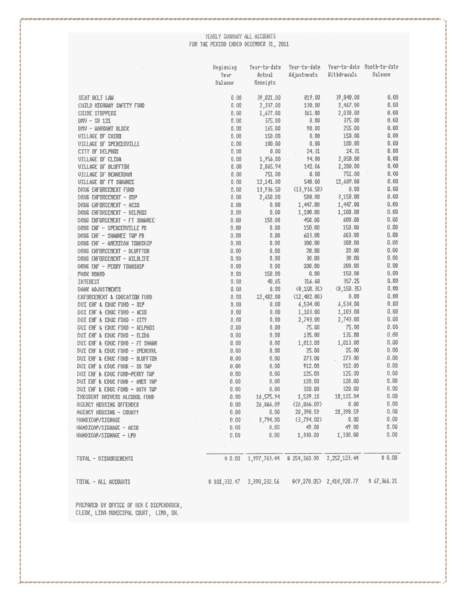### $\label{eq:1} \begin{minipage}{0.9\linewidth} \textbf{YEARLY SUMARY ALL ACCBURTS} \begin{minipage}{0.9\linewidth} \textbf{FBR THE PERTBD ENDED DECETREG 31, 2011} \end{minipage} \end{minipage}$

|                                           | Veginning    | Year-to-date      | Year-to-date                                 |                            | Year-to-date Month-to-date |
|-------------------------------------------|--------------|-------------------|----------------------------------------------|----------------------------|----------------------------|
|                                           | Year         | Actual            | Adjustnents                                  | Withdrawals                | Balance                    |
|                                           | Balance      | Receipts          |                                              |                            |                            |
| SEAT BELT LAW                             | 0. OO        | 39,021.00         | 819.00                                       | 39,840.00                  | 0.00                       |
| CHILD HIGHHAY SAFETY FUND                 | 0.00         | 2,337.00          | 130.00                                       | 2,467,00                   | 0.00                       |
| <b>CRIME STUPPERS</b>                     | 0.00         | 1,677.00          | $-361.00$                                    | 2,038.09                   | 0.00                       |
| 脚-\$121                                   | 0.00         | 375.00            | 升, 朝                                         | 375.00                     | 0.93                       |
| <b>BIN - HARRAHT BLOCK</b>                | 0.00         | 165.00            | 90.00                                        | 255.00                     | 0.00                       |
| VILLAGE OF CAIRD                          | 0,00         | 150.00            | 0.00                                         | 150.00                     | 0.00                       |
| <b>UILLAGE IF SPENCERVILLE</b>            | 0.00         | 100.00            | 0.00                                         | 100.00                     | 10.80                      |
| CITY OF DELPHOS                           | 0.00         | $0\ldotp00$       | 24.31                                        | 24.31                      | 0.00                       |
| VILLAGE OF ELIDA                          | 0.00         | 1,956.00          | 94.00                                        | 2,050.00                   | 0.03                       |
| VILLAGE OF BLOFFTON                       | 0.00         | 2,065.94          | 142.06                                       | 2,200.00                   | 0.88                       |
| <b>UILLAGE IF BEAVERDAN</b>               | 0.03         | 751.00            | 0.00                                         | 751.00                     | O.H                        |
| <b>UILLAGE OF FT SHAAREE</b>              | 0.00         | 12,141.00         | 548.00                                       | 12,689.00                  | 0.66                       |
| <b>DRUG ENFURCEMENT FUND</b>              | 0.00         | 13,936.50         | (13,936.50)                                  | 0.00                       | 0.60                       |
| DRUG ENFINCEMENT - OSP                    | 0.00         | 2,650.00          | 588.00                                       | 3,158.00                   | 0.00                       |
| DRUG ENFORCEMENT - ACSO                   | 0.00         | 0.00              | 1,447.00                                     | 1,447.00                   | 0.00                       |
| DRUG ENFORCEMENT - DELPHOS                | 0.00         | 0.00              | 1,199.00                                     | 1,100.00                   | 0, 90                      |
| DRUG ENFORGEMENT ~ FT SHAWNEE             | 0.00         | 150.00            | 450.00                                       | 600.00                     | 0.00                       |
| DRUG ENT - SPENCERVILLE PD                | 0.00         | 0.00              | 150.00                                       | 150.00                     | 0.09                       |
| DRUG ENF - SHAWKEE TUP PD                 | 0.00         | 0.00              | 603.00                                       | 603.00                     | 0.08                       |
|                                           |              | 0.00              | 390.00                                       | 300.00                     | 0.06                       |
| DRUG ENT - ANENICAN TUNNSHIP              | 0.00<br>0.00 | 0.00              | 20.00                                        | 20.00                      | 0.00                       |
| <b>DRIG ENFORCEMENT - BLUFFTON</b>        | 0,00         | 0.00              | 30.00                                        | 30.00                      | 0.00                       |
| DRUG ENFURCENENT - UILDLIFE               | 0.00         | 0.00              | 200.00                                       | 200.00                     | 0.00                       |
| DRUG ENF - PERRY TUHRSHIP                 |              | 150.00            | 0.00                                         | 150.00                     | 0.00                       |
| PARK BUARD                                | 0.66         | 40.65             | 316.60                                       | 357.25                     | 0, 00                      |
| <b>INTEREST</b>                           | 0.00         |                   |                                              | $\langle 8,150,35 \rangle$ | 0,00                       |
| <b><i>BAHK ADJUSTMENTS</i></b>            | 0.00         | $0.00\,$          | $\langle 8, 158, 35 \rangle$<br>(12, 482.00) | 0,90                       | 0,60                       |
| ERFORCEMENT & EDUCATION FUND              | 0.00         | 12,482.00<br>0.00 |                                              | 6,534.00                   | 0.00                       |
| DUI ENF & EDUC FUND - OSP                 | 0.00         |                   | 6,534.00                                     |                            | 0.00                       |
| DUI ENF & EDUC FUND - ACSU                | 0,0          | 0.00              | 1,103.00                                     | 1,103.60                   | 0,00                       |
| DIE ENF & EDUC FUND - CITY                | 0.90         | 0,00              | 2,743.00                                     | 2,743.98<br>75.00          | 0.00                       |
| DATE RE FERRE FURD - DELPHIC              | 0.00         | 0.00              | 75.00                                        |                            |                            |
| DUI ENF & EDUC FUND - ELIDA               | 0.00         | 0.00              | 135.00                                       | 135.00                     | 0, 50                      |
| DUI ENF & EDUC FUND - FT SHAWN            | 0.00         | 0.00              | 1,013.00                                     | 1,013.00                   | 0.90                       |
| DUI ENF & EDUC FUND - SPENCRUL            | 0.00         | 0.00              | 25.00                                        | 25.80                      | 0.39                       |
| <b>DUE ENF &amp; EDUC FUND - BLUFFTON</b> | 0.00         | 0.00              | 273.00                                       | 275.00<br>$\mathcal{L}$    | 0.00                       |
| <b>CALL EXE &amp; EDUC FURD - SH THP</b>  | 0,00         | 0.00              | 912.00                                       | 912.00                     | 0.00                       |
| DUI ENF & EDUC FUND-PERRY THP             | 0.88         | 0.00              | 125.00                                       | 125.00                     | 0.90                       |
| DUI ENF & EDUC FUND - AMER THP            | 0.00         | 0.00              | 128.00                                       | 120.00                     | 0.00                       |
| DUI ENF & EDUC FUND - BATH TUP            | 0.98         | 0.00              | 320.00                                       | 320.00                     | 0.00                       |
| INDIGENT DRIVERS ALCHHIL FUND             | 0.00         | 16,575.94         | 1,539.10                                     | 18,115.04                  | 0.00                       |
| <b>AGENCY HUUSING OFFENDER</b>            | 0.00         | 26,866.09         | (26, 866, 09)                                | 8.80                       | 13.00                      |
| <b>ACENCY HIUSING - CUUNTY</b>            | O. 00        | 0.60              | 28,398.59                                    | 28,398.59                  | 0,00                       |
| HANDEAP/SEGNAGE                           | 0,00         | 3,794.00          | (3,794.00)                                   | 9.00                       | 0.00                       |
| HANDICAP/SIGNAGE - ACSI                   | 0,00         | 0.00              | 碧,開                                          | 船,00                       | 0.00                       |
| HANDICAP/SIGNAGE – LPD                    | 0,00         | 0.00              | 1,330.00                                     | 1,330.00                   | 0.88                       |
| TUTAL - DISBURSEMENTS                     | \$ 0.00      | 1,997,763.44      | \$254,360.00                                 | 2,252,123.44               | $\pm$ 0.00                 |
| TOTAL - ALL ACCOUNTS                      | \$101,332,47 | 2,390,232.56      |                                              | 5(9,278.05) 2,414,928.77   | \$ 67,366.21               |
|                                           |              |                   |                                              |                            |                            |

PREPARED BY OFFICE OF BEN E DIEPENBROCK, CLERK, LINA NUNICIPAL COURT, LINA, OH.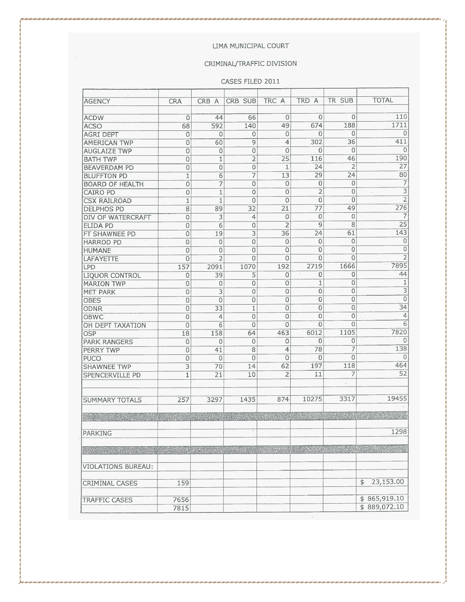#### LIMA MUNICIPAL COURT

#### CRIMINAL/TRAFFIC DIVISION

#### CASES FILED 2011

| <b>AGENCY</b>             | <b>CRA</b>     | CRB A           | CRB SUB        | TRC A          | TRD A           | TR SUB                   | <b>TOTAL</b>                 |
|---------------------------|----------------|-----------------|----------------|----------------|-----------------|--------------------------|------------------------------|
|                           |                |                 |                |                |                 |                          |                              |
| <b>ACDW</b>               | 0              | 44              | 66             | 0              | 0               | 0                        | 110                          |
| <b>ACSO</b>               | 68             | 592             | 140            | 49             | 674             | 188                      | 1711                         |
| <b>AGRI DEPT</b>          | 0              | 0               | $\Omega$       | $\mathbf 0$    | $\Omega$        | $\mathbf 0$              | 0                            |
| <b>AMERICAN TWP</b>       | 0              | 60              | 9              | 4              | 302             | 36                       | 411                          |
| <b>AUGLAIZE TWP</b>       | 0              | 0               | $\mathbf 0$    | $\mathbf 0$    | 0               | $\Omega$                 | 0                            |
| <b>BATH TWP</b>           | 0              | 1               | $\overline{2}$ | 25             | 116             | 46                       | 190                          |
| <b>BEAVERDAM PD</b>       | 0              | $\overline{0}$  | $\overline{0}$ | 1              | 24              | $\overline{2}$           | 27                           |
| <b>BLUFFTON PD</b>        | $\overline{1}$ | $\overline{6}$  | 7              | 13             | 29              | 24                       | 80                           |
| <b>BOARD OF HEALTH</b>    | $\overline{0}$ | 7               | $\mathbf 0$    | 0              | $\theta$        | $\Omega$                 | $\overline{7}$               |
| <b>CAIRO PD</b>           | $\mathbf 0$    | $\mathbf{1}$    | $\overline{0}$ | $\Omega$       | $\overline{c}$  | $\overline{0}$           | $\overline{3}$<br>$\epsilon$ |
| <b>CSX RAILROAD</b>       | $1\,$          | $\mathbf{1}$    | 0              | 0              | $\theta$        | $\Omega$                 | $\overline{2}$               |
| DELPHOS PD                | 8              | 89              | 32             | 21             | $\overline{77}$ | 49                       | 276                          |
| DIV OF WATERCRAFT         | $\overline{0}$ | $\overline{3}$  | 4              | 0              | 0               | $\Omega$                 | $\overline{7}$               |
| <b>ELIDA PD</b>           | 0              | $\overline{6}$  | 0              | $\overline{2}$ | 9               | 8                        | $\overline{25}$              |
| FT SHAWNEE PD             | 0              | 19              | 3              | 36             | 24              | 61                       | 143                          |
| <b>HARROD PD</b>          | 0              | 0               | 0              | 0              | 0               | $\circ$                  | $\Omega$                     |
| <b>HUMANE</b>             | 0              | 0               | 0              | $\overline{0}$ | 0               | $\Omega$                 | $\overline{0}$               |
| LAFAYETTE                 | 0              | $\overline{2}$  | $\overline{0}$ | $\overline{0}$ | 0               | $\overline{0}$           | $\overline{2}$               |
| LPD                       | 157            | 2091            | 1070           | 192            | 2719            | 1666                     | 7895                         |
| <b>LIQUOR CONTROL</b>     | 0              | 39              | 5              | 0              | $^\star$<br>0   | $\mathbf 0$              | 44                           |
| <b>MARION TWP</b>         | 0              | $\mathbf 0$     | 0              | 0              | $\mathbf{1}$    | 0                        | $\mathbf{1}$                 |
| <b>MET PARK</b>           | 0              | 3               | 0              | 0              | 0               | $\mathbf 0$              | $\overline{\overline{3}}$    |
| <b>OBES</b>               | 0              | 0               | 0              | 0              | $\theta$        | $\overline{0}$           | $\overline{0}$               |
| <b>ODNR</b>               | $\overline{0}$ | $\overline{33}$ | $\mathbbm{1}$  | $\overline{0}$ | $\overline{0}$  | $\overline{0}$           | $\overline{34}$              |
| <b>OBWC</b>               | $\overline{0}$ | 4               | $\overline{O}$ | $\Omega$       | $\mathbf 0$     | $\Omega$                 | $\overline{4}$               |
| OH DEPT TAXATION          | 0              | 6               | $\Omega$       | $\Omega$       | $\Omega$        | $\overline{0}$           | 6                            |
| <b>OSP</b>                | 18             | 158             | 64             | 463            | 6012            | 1105                     | 7820                         |
| <b>PARK RANGERS</b>       | 0              | 0               | 0              | $\mathbf 0$    | $\Omega$        | 0                        | 0                            |
| PERRY TWP                 | 0              | 41              | $\overline{8}$ | $\overline{4}$ | 78              | 7                        | 138                          |
| PUCO                      | 0              | $\theta$        | $\overline{0}$ | $\Omega$       | $\Omega$        | $\Omega$                 | $\Omega$                     |
| <b>SHAWNEE TWP</b>        | $\overline{3}$ | 70              | 14             | 62             | 197             | 118                      | 464                          |
| <b>SPENCERVILLE PD</b>    | 1              | 21              | 10             | $\overline{2}$ | 11              | 7                        | 52                           |
|                           |                |                 |                |                |                 | $\overline{\phantom{a}}$ |                              |
|                           |                |                 |                |                |                 |                          |                              |
| <b>SUMMARY TOTALS</b>     | 257            | 3297            | 1435           | 874            | 10275           | 3317                     | 19455                        |
|                           |                |                 |                |                |                 |                          |                              |
|                           |                |                 |                |                |                 |                          |                              |
|                           |                |                 |                |                |                 |                          |                              |
| <b>PARKING</b>            |                |                 |                |                |                 |                          | 1298                         |
|                           |                |                 |                |                |                 |                          |                              |
|                           |                |                 |                |                |                 |                          |                              |
|                           |                |                 |                |                |                 |                          |                              |
| <b>VIOLATIONS BUREAU:</b> |                |                 |                |                |                 |                          |                              |
|                           |                |                 |                |                |                 |                          |                              |
| <b>CRIMINAL CASES</b>     | 159            |                 |                |                |                 |                          | 23,153.00<br>\$              |
|                           |                |                 |                |                |                 |                          |                              |
| <b>TRAFFIC CASES</b>      | 7656           |                 |                |                |                 |                          | \$865,919.10                 |
|                           | 7815           |                 |                |                |                 |                          | \$889,072.10                 |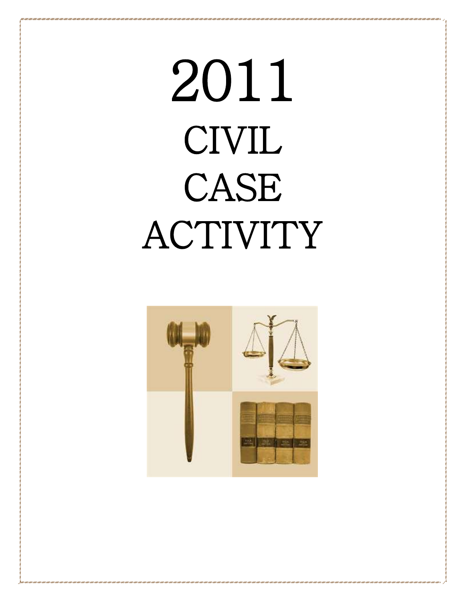# 2011 CIVIL CASE ACTIVITY

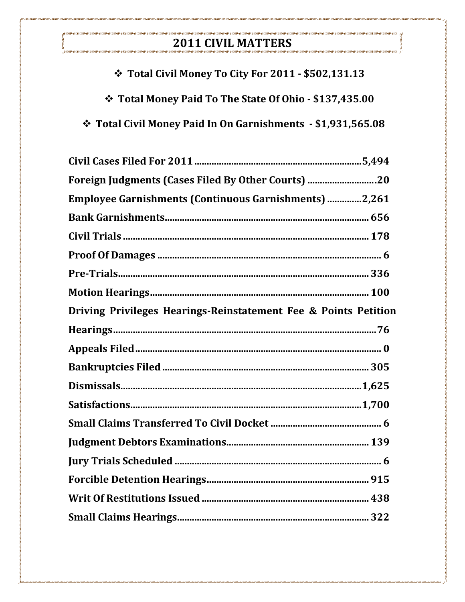### 2011 CIVIL MATTERS

.<br>כמו כם מסוגים הם מסוגים הם מסוגים הם מסוגים הם מסוגים הם מסוגים הם מסוגים הם מסוגים הם מסוגים הם מסוגים הם מסוגים הם

.<br>- The Control of Control of Control of Control of Control of Control of Control of Control of Control of Contr

| $\div$ Total Civil Money To City For 2011 - \$502,131.13            |
|---------------------------------------------------------------------|
| <b>Veroget Total Money Paid To The State Of Ohio - \$137,435.00</b> |
|                                                                     |

| Foreign Judgments (Cases Filed By Other Courts) 20              |  |
|-----------------------------------------------------------------|--|
| <b>Employee Garnishments (Continuous Garnishments) 2,261</b>    |  |
|                                                                 |  |
|                                                                 |  |
|                                                                 |  |
|                                                                 |  |
|                                                                 |  |
| Driving Privileges Hearings-Reinstatement Fee & Points Petition |  |
|                                                                 |  |
|                                                                 |  |
|                                                                 |  |
|                                                                 |  |
|                                                                 |  |
|                                                                 |  |
|                                                                 |  |
|                                                                 |  |
|                                                                 |  |
|                                                                 |  |
|                                                                 |  |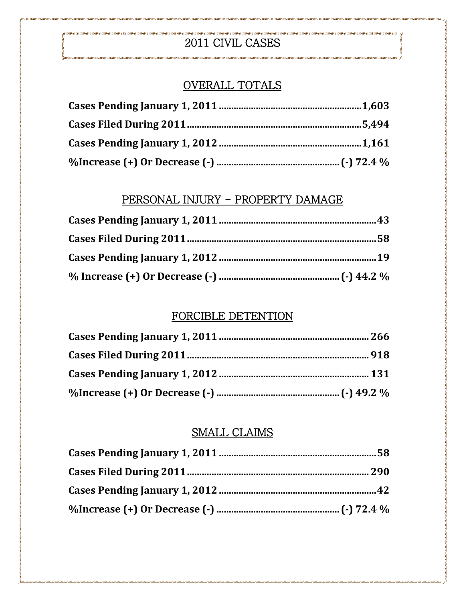### 2011 CIVIL CASES

### OVERALL TOTALS

### PERSONAL INJURY - PROPERTY DAMAGE

### FORCIBLE DETENTION

### SMALL CLAIMS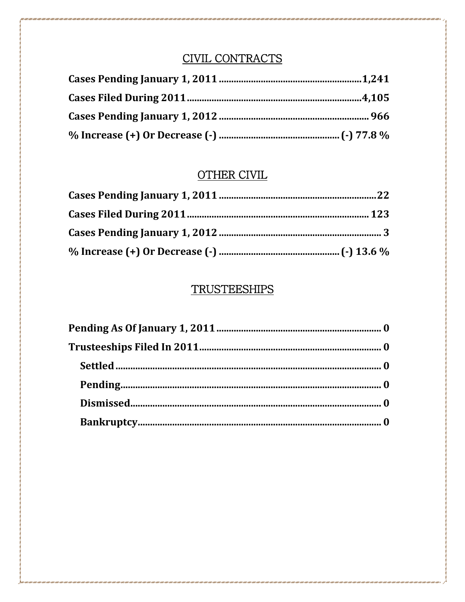### CIVIL CONTRACTS

### **OTHER CIVIL**

### **TRUSTEESHIPS**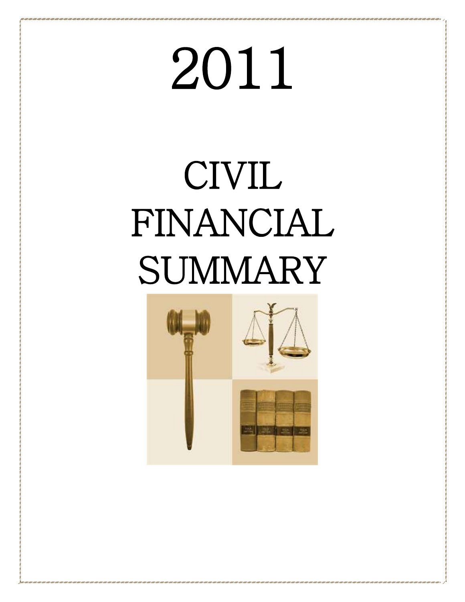# 2011

## CIVIL FINANCIAL **SUMMARY**

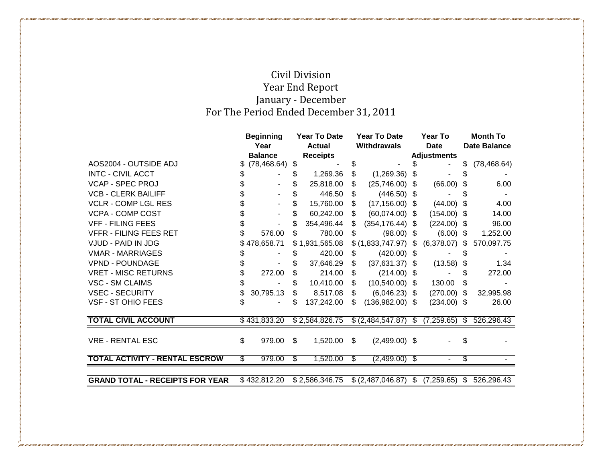### Civil Division Year End Report January - December For The Period Ended December 31, 2011

|                                        | <b>Beginning</b><br>Year To Date |                | Year To Date |                    |      | Year To                                                          |    | <b>Month To</b>     |    |              |
|----------------------------------------|----------------------------------|----------------|--------------|--------------------|------|------------------------------------------------------------------|----|---------------------|----|--------------|
|                                        | Year<br><b>Actual</b>            |                |              | <b>Withdrawals</b> |      | Date                                                             |    | <b>Date Balance</b> |    |              |
|                                        |                                  | <b>Balance</b> |              | <b>Receipts</b>    |      |                                                                  |    | <b>Adjustments</b>  |    |              |
| AOS2004 - OUTSIDE ADJ                  | \$.                              | (78, 468.64)   | \$           |                    | \$   |                                                                  | \$ |                     |    | (78, 468.64) |
| <b>INTC - CIVIL ACCT</b>               | \$                               |                |              | 1,269.36           | \$   | (1,269.36)                                                       | \$ |                     | \$ |              |
| <b>VCAP - SPEC PROJ</b>                |                                  |                |              | 25,818.00          | \$   | $(25,746.00)$ \$                                                 |    | (66.00)             | \$ | 6.00         |
| <b>VCB - CLERK BAILIFF</b>             |                                  |                | S            | 446.50             | \$.  | $(446.50)$ \$                                                    |    |                     | \$ |              |
| <b>VCLR - COMP LGL RES</b>             | \$                               |                | \$           | 15,760.00          | S.   | $(17, 156.00)$ \$                                                |    | (44.00)             | \$ | 4.00         |
| <b>VCPA - COMP COST</b>                | \$                               |                | \$           | 60,242.00          | \$   | $(60,074.00)$ \$                                                 |    | $(154.00)$ \$       |    | 14.00        |
| <b>VFF - FILING FEES</b>               | \$                               |                | \$           | 354,496.44         | \$   | $(354, 176.44)$ \$                                               |    | $(224.00)$ \$       |    | 96.00        |
| <b>VFFR - FILING FEES RET</b>          |                                  | 576.00         | S            | 780.00             | \$   | $(98.00)$ \$                                                     |    | $(6.00)$ \$         |    | 1,252.00     |
| VJUD - PAID IN JDG                     |                                  | \$478,658.71   |              | \$1,931,565.08     |      | $$ (1,833,747.97)$ \$                                            |    | (6,378.07)          | \$ | 570,097.75   |
| <b>VMAR - MARRIAGES</b>                |                                  |                |              | 420.00             | \$.  | $(420.00)$ \$                                                    |    |                     |    |              |
| <b>VPND - POUNDAGE</b>                 |                                  |                |              | 37,646.29          | \$   | $(37,631.37)$ \$                                                 |    | (13.58)             | \$ | 1.34         |
| <b>VRET - MISC RETURNS</b>             | \$                               | 272.00         |              | 214.00             | \$   | $(214.00)$ \$                                                    |    |                     | \$ | 272.00       |
| VSC - SM CLAIMS                        | \$                               |                | \$           | 10,410.00          | \$   | $(10,540.00)$ \$                                                 |    | 130.00              | \$ |              |
| <b>VSEC - SECURITY</b>                 |                                  | 30,795.13      | S            | 8,517.08           | \$   | $(6,046.23)$ \$                                                  |    | $(270.00)$ \$       |    | 32,995.98    |
| VSF - ST OHIO FEES                     | \$                               |                | \$           | 137,242.00         | \$   | $(136,982.00)$ \$                                                |    | $(234.00)$ \$       |    | 26.00        |
|                                        |                                  |                |              |                    |      |                                                                  |    |                     |    |              |
| <b>TOTAL CIVIL ACCOUNT</b>             |                                  | \$431,833.20   |              |                    |      | $$2,584,826.75$ $$ (2,484,547.87)$ $$ (7,259.65)$ $$ 526,296.43$ |    |                     |    |              |
|                                        |                                  |                |              |                    |      |                                                                  |    |                     |    |              |
| <b>VRE - RENTAL ESC</b>                | \$                               | 979.00         | \$           | 1,520.00           | \$   | $(2,499.00)$ \$                                                  |    |                     | \$ |              |
| <b>TOTAL ACTIVITY - RENTAL ESCROW</b>  | \$                               | 979.00         | S.           | 1,520.00           | - \$ | $(2,499.00)$ \$                                                  |    |                     | \$ |              |
|                                        |                                  |                |              |                    |      |                                                                  |    |                     |    |              |
| <b>GRAND TOTAL - RECEIPTS FOR YEAR</b> |                                  | \$432,812.20   |              | \$2,586,346.75     |      | $$(2,487,046.87)$ \;                                             |    | $(7,259.65)$ \$     |    | 526,296.43   |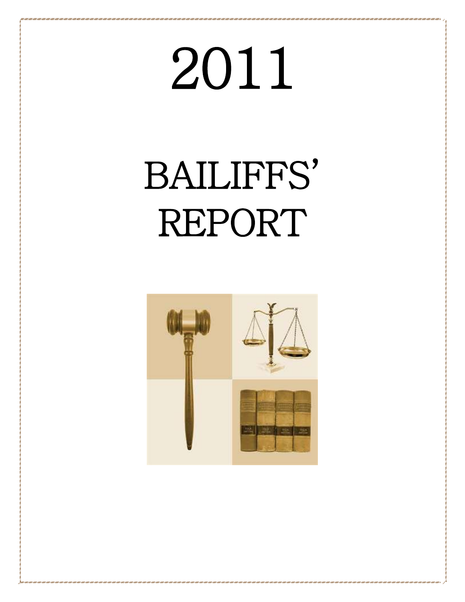# 2011

## BAILIFFS' REPORT

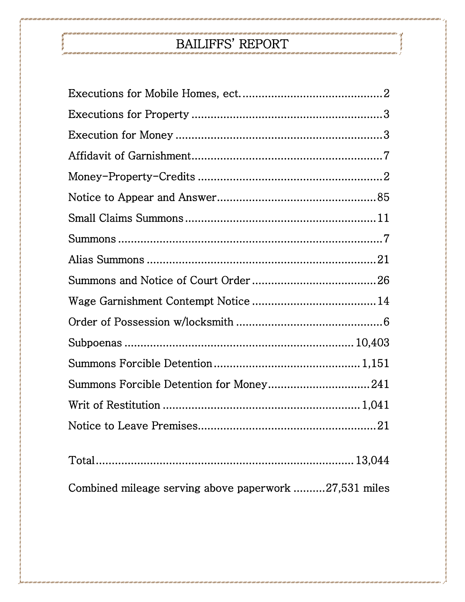### BAILIFFS' REPORT

| Combined mileage serving above paperwork 27,531 miles |
|-------------------------------------------------------|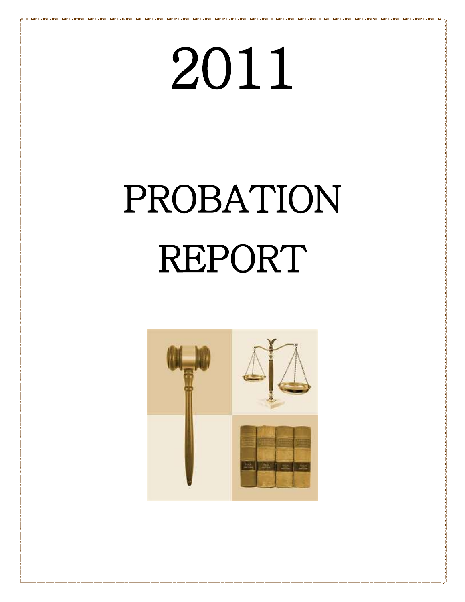# 2011

## PROBATION REPORT

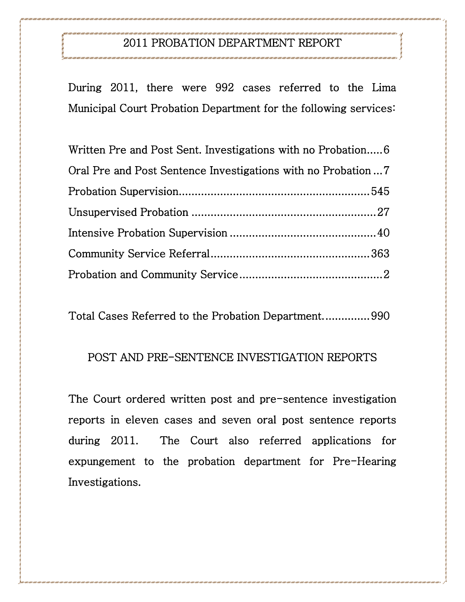### 2011 PROBATION DEPARTMENT REPORT

During 2011, there were 992 cases referred to the Lima Municipal Court Probation Department for the following services:

| Written Pre and Post Sent. Investigations with no Probation6 |  |
|--------------------------------------------------------------|--|
|                                                              |  |
|                                                              |  |
|                                                              |  |
|                                                              |  |
|                                                              |  |
|                                                              |  |

Total Cases Referred to the Probation Department. .............. 990

### POST AND PRE-SENTENCE INVESTIGATION REPORTS

The Court ordered written post and pre-sentence investigation reports in eleven cases and seven oral post sentence reports during 2011. The Court also referred applications for expungement to the probation department for Pre-Hearing Investigations.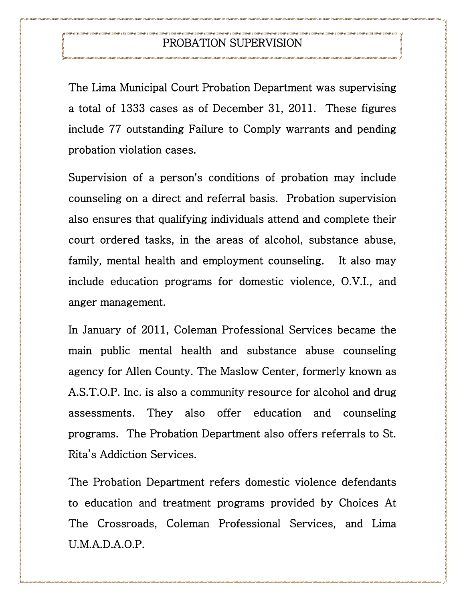### PROBATION SUPERVISION

The Lima Municipal Court Probation Department was supervising a total of 1333 cases as of December 31, 2011. These figures include 77 outstanding Failure to Comply warrants and pending probation violation cases.

Supervision of a person's conditions of probation may include counseling on a direct and referral basis. Probation supervision also ensures that qualifying individuals attend and complete their court ordered tasks, in the areas of alcohol, substance abuse, family, mental health and employment counseling. It also may include education programs for domestic violence, O.V.I., and anger management.

In January of 2011, Coleman Professional Services became the main public mental health and substance abuse counseling agency for Allen County. The Maslow Center, formerly known as A.S.T.O.P. Inc. is also a community resource for alcohol and drug assessments. They also offer education and counseling programs. The Probation Department also offers referrals to St. Rita's Addiction Services.

The Probation Department refers domestic violence defendants to education and treatment programs provided by Choices At The Crossroads, Coleman Professional Services, and Lima U.M.A.D.A.O.P.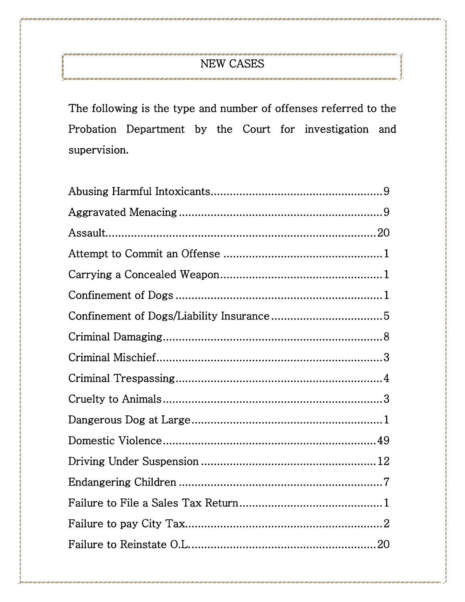### NEW CASES

.<br>Thus finds finds finds finds finds finds finds finds finds finds finds finds finds finds finds finds finds finds finds fi

The following is the type and number of offenses referred to the Probation Department by the Court for investigation and supervision.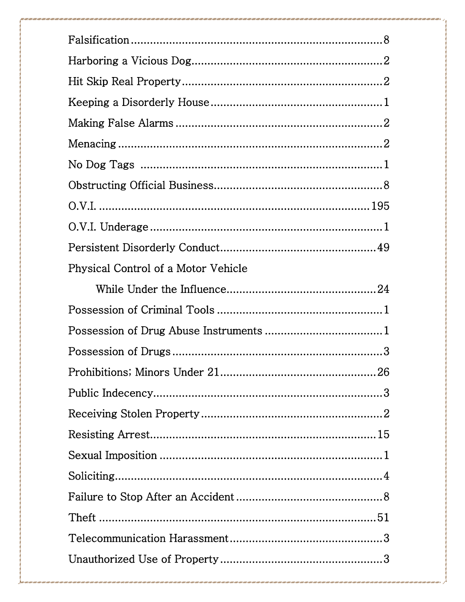| Physical Control of a Motor Vehicle |
|-------------------------------------|
|                                     |
|                                     |
|                                     |
|                                     |
|                                     |
|                                     |
|                                     |
|                                     |
|                                     |
|                                     |
|                                     |
|                                     |
|                                     |
|                                     |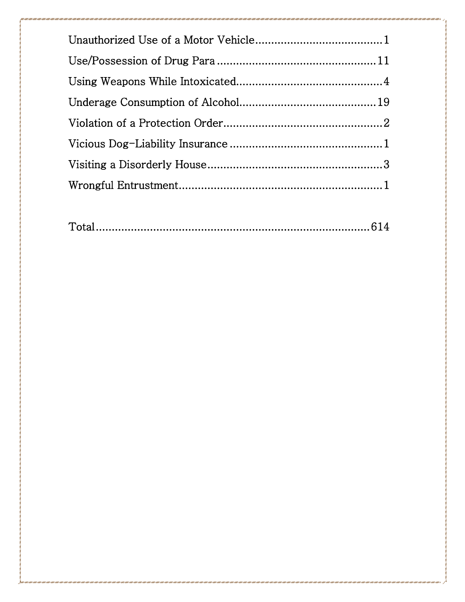|--|--|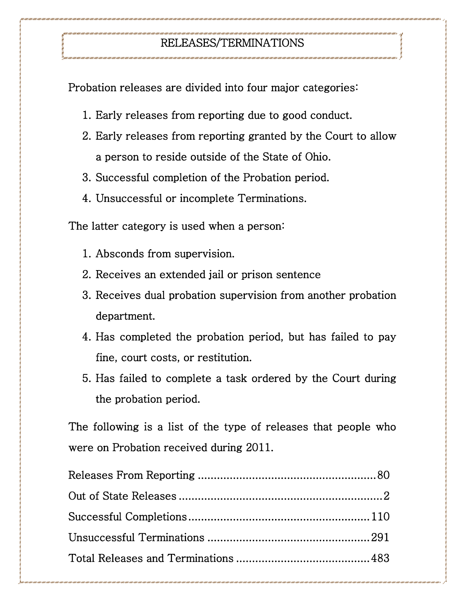### RELEASES/TERMINATIONS

Probation releases are divided into four major categories:

- 1. Early releases from reporting due to good conduct.
- 2. Early releases from reporting granted by the Court to allow a person to reside outside of the State of Ohio.
- 3. Successful completion of the Probation period.
- 4. Unsuccessful or incomplete Terminations.

The latter category is used when a person:

- 1. Absconds from supervision.
- 2. Receives an extended jail or prison sentence
- 3. Receives dual probation supervision from another probation department.
- 4. Has completed the probation period, but has failed to pay fine, court costs, or restitution.
- 5. Has failed to complete a task ordered by the Court during the probation period.

The following is a list of the type of releases that people who were on Probation received during 2011.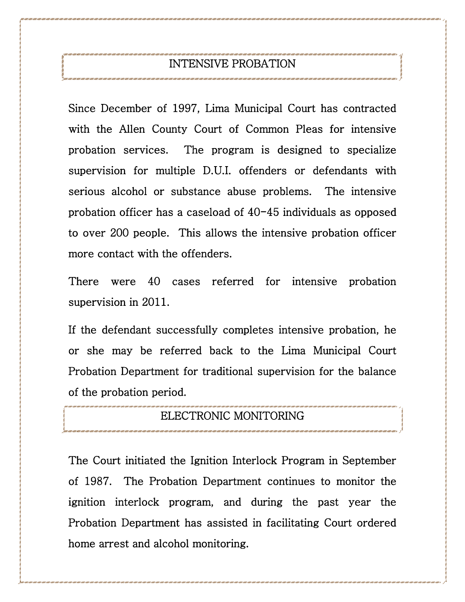### INTENSIVE PROBATION

Since December of 1997, Lima Municipal Court has contracted with the Allen County Court of Common Pleas for intensive probation services. The program is designed to specialize supervision for multiple D.U.I. offenders or defendants with serious alcohol or substance abuse problems. The intensive probation officer has a caseload of 40-45 individuals as opposed to over 200 people. This allows the intensive probation officer more contact with the offenders.

There were 40 cases referred for intensive probation supervision in 2011.

If the defendant successfully completes intensive probation, he or she may be referred back to the Lima Municipal Court Probation Department for traditional supervision for the balance of the probation period.

### ELECTRONIC MONITORING

The Court initiated the Ignition Interlock Program in September of 1987. The Probation Department continues to monitor the ignition interlock program, and during the past year the Probation Department has assisted in facilitating Court ordered home arrest and alcohol monitoring.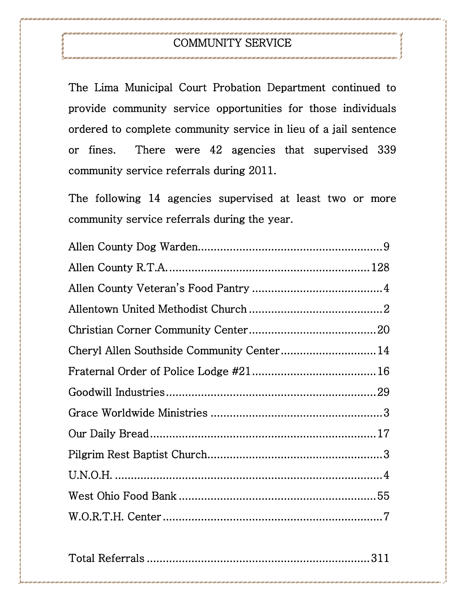### COMMUNITY SERVICE

The Lima Municipal Court Probation Department continued to provide community service opportunities for those individuals ordered to complete community service in lieu of a jail sentence or fines. There were 42 agencies that supervised 339 community service referrals during 2011.

The following 14 agencies supervised at least two or more community service referrals during the year.

|--|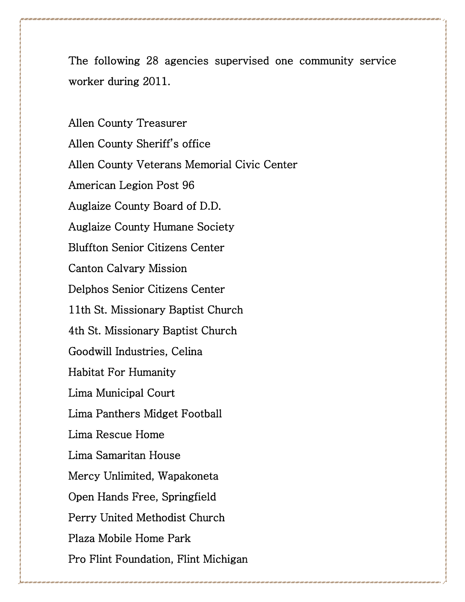The following 28 agencies supervised one community service worker during 2011.

Allen County Treasurer Allen County Sheriff's office Allen County Veterans Memorial Civic Center American Legion Post 96 Auglaize County Board of D.D. Auglaize County Humane Society Bluffton Senior Citizens Center Canton Calvary Mission Delphos Senior Citizens Center 11th St. Missionary Baptist Church 4th St. Missionary Baptist Church Goodwill Industries, Celina Habitat For Humanity Lima Municipal Court Lima Panthers Midget Football Lima Rescue Home Lima Samaritan House Mercy Unlimited, Wapakoneta Open Hands Free, Springfield Perry United Methodist Church Plaza Mobile Home Park Pro Flint Foundation, Flint Michigan